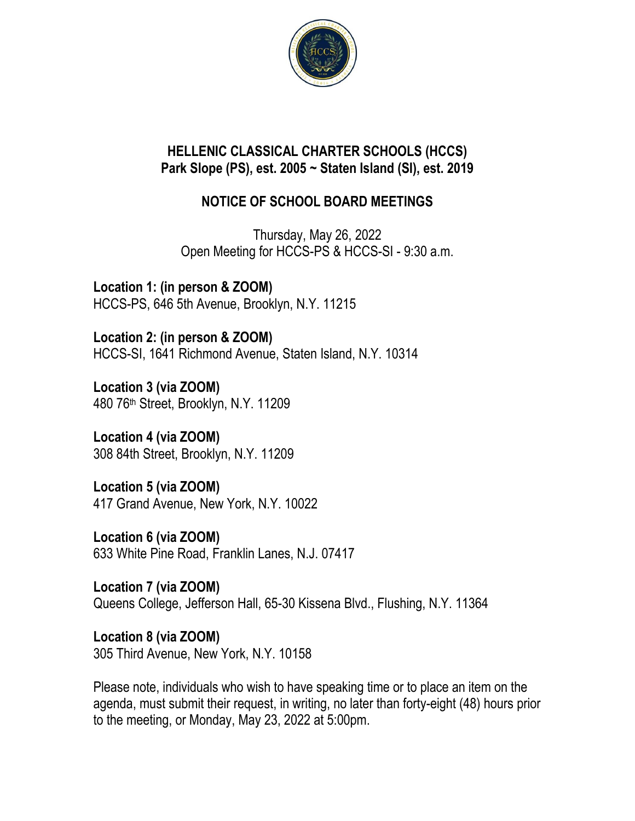

## **HELLENIC CLASSICAL CHARTER SCHOOLS (HCCS) Park Slope (PS), est. 2005 ~ Staten Island (SI), est. 2019**

## **NOTICE OF SCHOOL BOARD MEETINGS**

Thursday, May 26, 2022 Open Meeting for HCCS-PS & HCCS-SI - 9:30 a.m.

**Location 1: (in person & ZOOM)** HCCS-PS, 646 5th Avenue, Brooklyn, N.Y. 11215

**Location 2: (in person & ZOOM)** HCCS-SI, 1641 Richmond Avenue, Staten Island, N.Y. 10314

**Location 3 (via ZOOM)** 480 76th Street, Brooklyn, N.Y. 11209

**Location 4 (via ZOOM)** 308 84th Street, Brooklyn, N.Y. 11209

**Location 5 (via ZOOM)** 417 Grand Avenue, New York, N.Y. 10022

**Location 6 (via ZOOM)** 633 White Pine Road, Franklin Lanes, N.J. 07417

**Location 7 (via ZOOM)** Queens College, Jefferson Hall, 65-30 Kissena Blvd., Flushing, N.Y. 11364

**Location 8 (via ZOOM)** 305 Third Avenue, New York, N.Y. 10158

Please note, individuals who wish to have speaking time or to place an item on the agenda, must submit their request, in writing, no later than forty-eight (48) hours prior to the meeting, or Monday, May 23, 2022 at 5:00pm.